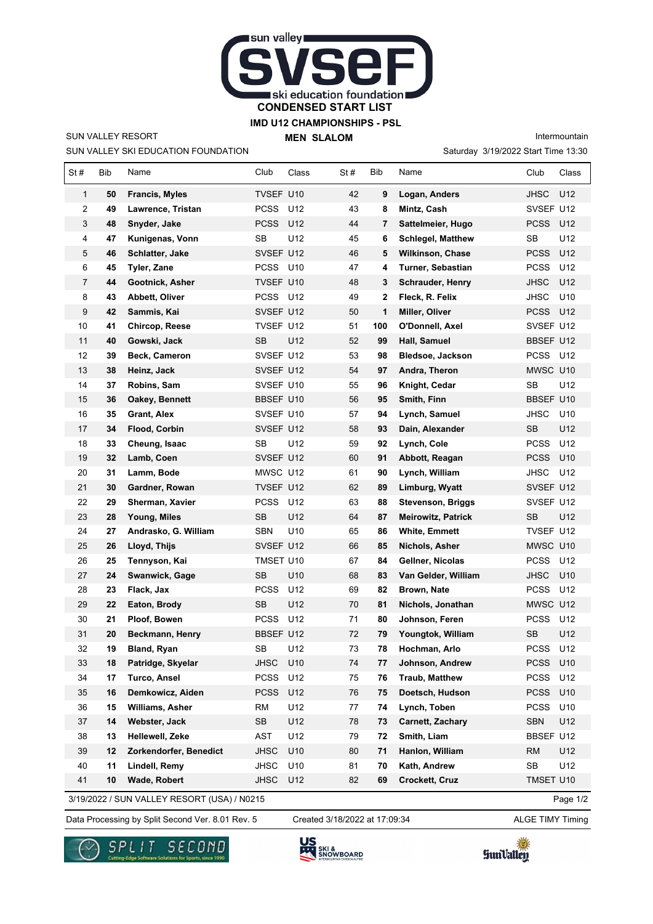

## **IMD U12 CHAMPIONSHIPS - PSL**

SUN VALLEY RESORT

 $\mathbf{r}$ 

SUN VALLEY SKI EDUCATION FOUNDATION

**MEN SLALOM** 

Saturday 3/19/2022 Start Time 13:30 Intermountain

| St#            | Bib | Name                   | Club        | Class | St# | Bib | Name                      | Club             | Class           |
|----------------|-----|------------------------|-------------|-------|-----|-----|---------------------------|------------------|-----------------|
| 1              | 50  | <b>Francis, Myles</b>  | TVSEF U10   |       | 42  | 9   | Logan, Anders             | <b>JHSC</b>      | U12             |
| 2              | 49  | Lawrence, Tristan      | <b>PCSS</b> | U12   | 43  | 8   | Mintz, Cash               | SVSEF U12        |                 |
| 3              | 48  | Snyder, Jake           | <b>PCSS</b> | U12   | 44  | 7   | Sattelmeier, Hugo         | <b>PCSS</b>      | U12             |
| 4              | 47  | Kunigenas, Vonn        | <b>SB</b>   | U12   | 45  | 6   | <b>Schlegel, Matthew</b>  | SB               | U12             |
| 5              | 46  | Schlatter, Jake        | SVSEF U12   |       | 46  | 5   | <b>Wilkinson, Chase</b>   | PCSS             | U12             |
| 6              | 45  | Tyler, Zane            | PCSS U10    |       | 47  | 4   | Turner, Sebastian         | <b>PCSS</b>      | U12             |
| $\overline{7}$ | 44  | Gootnick, Asher        | TVSEF U10   |       | 48  | 3   | <b>Schrauder, Henry</b>   | <b>JHSC</b>      | U12             |
| 8              | 43  | Abbett, Oliver         | <b>PCSS</b> | U12   | 49  | 2   | Fleck, R. Felix           | <b>JHSC</b>      | U10             |
| 9              | 42  | Sammis, Kai            | SVSEF U12   |       | 50  | 1   | Miller, Oliver            | <b>PCSS</b>      | U12             |
| 10             | 41  | Chircop, Reese         | TVSEF U12   |       | 51  | 100 | O'Donnell, Axel           | SVSEF U12        |                 |
| 11             | 40  | Gowski, Jack           | SB          | U12   | 52  | 99  | Hall, Samuel              | BBSEF U12        |                 |
| 12             | 39  | Beck, Cameron          | SVSEF U12   |       | 53  | 98  | Bledsoe, Jackson          | PCSS             | U12             |
| 13             | 38  | Heinz, Jack            | SVSEF U12   |       | 54  | 97  | Andra, Theron             | MWSC U10         |                 |
| 14             | 37  | Robins, Sam            | SVSEF U10   |       | 55  | 96  | Knight, Cedar             | <b>SB</b>        | U12             |
| 15             | 36  | Oakey, Bennett         | BBSEF U10   |       | 56  | 95  | Smith, Finn               | <b>BBSEF U10</b> |                 |
| 16             | 35  | Grant, Alex            | SVSEF U10   |       | 57  | 94  | Lynch, Samuel             | <b>JHSC</b>      | U <sub>10</sub> |
| 17             | 34  | <b>Flood, Corbin</b>   | SVSEF U12   |       | 58  | 93  | Dain, Alexander           | <b>SB</b>        | U12             |
| 18             | 33  | Cheung, Isaac          | SB          | U12   | 59  | 92  | Lynch, Cole               | <b>PCSS</b>      | U12             |
| 19             | 32  | Lamb, Coen             | SVSEF U12   |       | 60  | 91  | Abbott, Reagan            | <b>PCSS</b>      | U10             |
| 20             | 31  | Lamm, Bode             | MWSC U12    |       | 61  | 90  | Lynch, William            | <b>JHSC</b>      | U12             |
| 21             | 30  | Gardner, Rowan         | TVSEF U12   |       | 62  | 89  | Limburg, Wyatt            | SVSEF U12        |                 |
| 22             | 29  | Sherman, Xavier        | <b>PCSS</b> | U12   | 63  | 88  | Stevenson, Briggs         | SVSEF U12        |                 |
| 23             | 28  | Young, Miles           | SB          | U12   | 64  | 87  | <b>Meirowitz, Patrick</b> | <b>SB</b>        | U12             |
| 24             | 27  | Andrasko, G. William   | <b>SBN</b>  | U10   | 65  | 86  | <b>White, Emmett</b>      | TVSEF U12        |                 |
| 25             | 26  | Lloyd, Thijs           | SVSEF U12   |       | 66  | 85  | Nichols, Asher            | MWSC U10         |                 |
| 26             | 25  | Tennyson, Kai          | TMSET U10   |       | 67  | 84  | Gellner, Nicolas          | <b>PCSS</b>      | U12             |
| 27             | 24  | Swanwick, Gage         | <b>SB</b>   | U10   | 68  | 83  | Van Gelder, William       | <b>JHSC</b>      | U10             |
| 28             | 23  | Flack, Jax             | <b>PCSS</b> | U12   | 69  | 82  | Brown, Nate               | <b>PCSS</b>      | U12             |
| 29             | 22  | Eaton, Brody           | SB          | U12   | 70  | 81  | Nichols, Jonathan         | MWSC U12         |                 |
| 30             | 21  | Ploof, Bowen           | <b>PCSS</b> | U12   | 71  | 80  | Johnson, Feren            | <b>PCSS</b>      | U12             |
| 31             | 20  | Beckmann, Henry        | BBSEF U12   |       | 72  | 79  | Youngtok, William         | <b>SB</b>        | U12             |
| 32             | 19  | Bland, Ryan            | SB          | U12   | 73  | 78  | Hochman, Arlo             | <b>PCSS</b>      | U12             |
| 33             | 18  | Patridge, Skyelar      | JHSC        | U10   | 74  | 77  | Johnson, Andrew           | PCSS             | U10             |
| 34             | 17  | Turco, Ansel           | <b>PCSS</b> | U12   | 75  | 76  | <b>Traub, Matthew</b>     | <b>PCSS</b>      | U12             |
| 35             | 16  | Demkowicz, Aiden       | <b>PCSS</b> | U12   | 76  | 75  | Doetsch, Hudson           | <b>PCSS</b>      | U10             |
| 36             | 15  | Williams, Asher        | <b>RM</b>   | U12   | 77  | 74  | Lynch, Toben              | <b>PCSS</b>      | U10             |
| 37             | 14  | Webster, Jack          | <b>SB</b>   | U12   | 78  | 73  | Carnett, Zachary          | <b>SBN</b>       | U12             |
| 38             | 13  | Hellewell, Zeke        | AST         | U12   | 79  | 72  | Smith, Liam               | BBSEF U12        |                 |
| 39             | 12  | Zorkendorfer, Benedict | <b>JHSC</b> | U10   | 80  | 71  | Hanlon, William           | <b>RM</b>        | U12             |
| 40             | 11  | Lindell, Remy          | <b>JHSC</b> | U10   | 81  | 70  | Kath, Andrew              | SB               | U12             |
| 41             | 10  | Wade, Robert           | <b>JHSC</b> | U12   | 82  | 69  | Crockett, Cruz            | TMSET U10        |                 |

3/19/2022 / SUN VALLEY RESORT (USA) / N0215

Data Processing by Split Second Ver. 8.01 Rev. 5 Created 3/18/2022 at 17:09:34 ALGE TIMY Timing Created 3/18/2022 at 17:09:34

Page 1/2